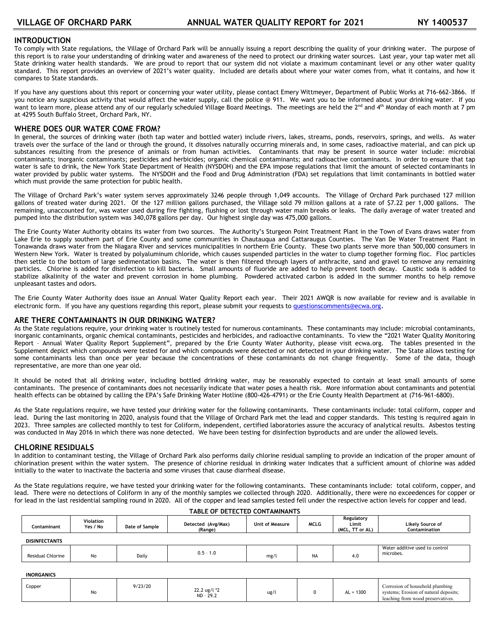# **INTRODUCTION**

To comply with State regulations, the Village of Orchard Park will be annually issuing a report describing the quality of your drinking water. The purpose of this report is to raise your understanding of drinking water and awareness of the need to protect our drinking water sources. Last year, your tap water met all State drinking water health standards. We are proud to report that our system did not violate a maximum contaminant level or any other water quality standard. This report provides an overview of 2021's water quality. Included are details about where your water comes from, what it contains, and how it compares to State standards.

If you have any questions about this report or concerning your water utility, please contact Emery Wittmeyer, Department of Public Works at 716-662-3866. If you notice any suspicious activity that would affect the water supply, call the police @ 911. We want you to be informed about your drinking water. If you want to learn more, please attend any of our regularly scheduled Village Board Meetings. The meetings are held the 2<sup>nd</sup> and 4<sup>th</sup> Monday of each month at 7 pm at 4295 South Buffalo Street, Orchard Park, NY.

## **WHERE DOES OUR WATER COME FROM?**

In general, the sources of drinking water (both tap water and bottled water) include rivers, lakes, streams, ponds, reservoirs, springs, and wells. As water travels over the surface of the land or through the ground, it dissolves naturally occurring minerals and, in some cases, radioactive material, and can pick up substances resulting from the presence of animals or from human activities. Contaminants that may be present in source water include: microbial contaminants; inorganic contaminants; pesticides and herbicides; organic chemical contaminants; and radioactive contaminants. In order to ensure that tap water is safe to drink, the New York State Department of Health (NYSDOH) and the EPA impose regulations that limit the amount of selected contaminants in water provided by public water systems. The NYSDOH and the Food and Drug Administration (FDA) set regulations that limit contaminants in bottled water which must provide the same protection for public health.

The Village of Orchard Park's water system serves approximately 3246 people through 1,049 accounts. The Village of Orchard Park purchased 127 million gallons of treated water during 2021. Of the 127 million gallons purchased, the Village sold 79 million gallons at a rate of \$7.22 per 1,000 gallons. The remaining, unaccounted for, was water used during fire fighting, flushing or lost through water main breaks or leaks. The daily average of water treated and pumped into the distribution system was 340,078 gallons per day. Our highest single day was 475,000 gallons.

The Erie County Water Authority obtains its water from two sources. The Authority's Sturgeon Point Treatment Plant in the Town of Evans draws water from Lake Erie to supply southern part of Erie County and some communities in Chautauqua and Cattaraugus Counties. The Van De Water Treatment Plant in Tonawanda draws water from the Niagara River and services municipalities in northern Erie County. These two plants serve more than 500,000 consumers in Western New York. Water is treated by polyaluminum chloride, which causes suspended particles in the water to clump together forming floc. Floc particles then settle to the bottom of large sedimentation basins. The water is then filtered through layers of anthracite, sand and gravel to remove any remaining particles. Chlorine is added for disinfection to kill bacteria. Small amounts of fluoride are added to help prevent tooth decay. Caustic soda is added to stabilize alkalinity of the water and prevent corrosion in home plumbing. Powdered activated carbon is added in the summer months to help remove unpleasant tastes and odors.

The Erie County Water Authority does issue an Annual Water Quality Report each year. Their 2021 AWQR is now available for review and is available in electronic form. If you have any questions regarding this report, please submit your requests to [questionscomments@ecwa.org.](mailto:questionscomments@ecwa.org)

## **ARE THERE CONTAMINANTS IN OUR DRINKING WATER?**

As the State regulations require, your drinking water is routinely tested for numerous contaminants. These contaminants may include: microbial contaminants, inorganic contaminants, organic chemical contaminants, pesticides and herbicides, and radioactive contaminants. To view the "2021 Water Quality Monitoring Report – Annual Water Quality Report Supplement", prepared by the Erie County Water Authority, please visit ecwa.org. The tables presented in the Supplement depict which compounds were tested for and which compounds were detected or not detected in your drinking water. The State allows testing for some contaminants less than once per year because the concentrations of these contaminants do not change frequently. Some of the data, though representative, are more than one year old.

It should be noted that all drinking water, including bottled drinking water, may be reasonably expected to contain at least small amounts of some contaminants. The presence of contaminants does not necessarily indicate that water poses a health risk. More information about contaminants and potential health effects can be obtained by calling the EPA's Safe Drinking Water Hotline (800-426-4791) or the Erie County Health Department at (716-961-6800).

As the State regulations require, we have tested your drinking water for the following contaminants. These contaminants include: total coliform, copper and lead. During the last monitoring in 2020, analysis found that the Village of Orchard Park met the lead and copper standards. This testing is required again in 2023. Three samples are collected monthly to test for Coliform, independent, certified laboratories assure the accuracy of analytical results. Asbestos testing was conducted in May 2016 in which there was none detected. We have been testing for disinfection byproducts and are under the allowed levels.

## **CHLORINE RESIDUALS**

In addition to contaminant testing, the Village of Orchard Park also performs daily chlorine residual sampling to provide an indication of the proper amount of chlorination present within the water system. The presence of chlorine residual in drinking water indicates that a sufficient amount of chlorine was added initially to the water to inactivate the bacteria and some viruses that cause diarrheal disease.

As the State regulations require, we have tested your drinking water for the following contaminants. These contaminants include: total coliform, copper, and lead. There were no detections of Coliform in any of the monthly samples we collected through 2020. Additionally, there were no exceedences for copper or for lead in the last residential sampling round in 2020. All of the copper and lead samples tested fell under the respective action levels for copper and lead.

| Contaminant          | Violation<br>Yes / No | Date of Sample | Detected (Avg/Max)<br>(Range) | Unit of Measure | <b>MCLG</b> | Regulatory<br>Limit<br>(MCL, TT or AL) | Likely Source of<br>Contamination           |
|----------------------|-----------------------|----------------|-------------------------------|-----------------|-------------|----------------------------------------|---------------------------------------------|
| <b>DISINFECTANTS</b> |                       |                |                               |                 |             |                                        |                                             |
| Residual Chlorine    | No                    | Daily          | $0.5 - 1.0$                   | mg/l            | <b>NA</b>   | 4.0                                    | Water additive used to control<br>microbes. |

## **TABLE OF DETECTED CONTAMINANTS**

#### **INORGANICS**

| Copper | ы.<br>טוי | /23/20 | 22.2 ug/l *2<br>$-29.2$<br>$ND -$ | 101 |  | 1300<br>ΑL<br>$  -$ | Corrosion of household plumbing<br>systems; Erosion of natural deposits;<br>leaching from wood preservatives. |
|--------|-----------|--------|-----------------------------------|-----|--|---------------------|---------------------------------------------------------------------------------------------------------------|
|--------|-----------|--------|-----------------------------------|-----|--|---------------------|---------------------------------------------------------------------------------------------------------------|